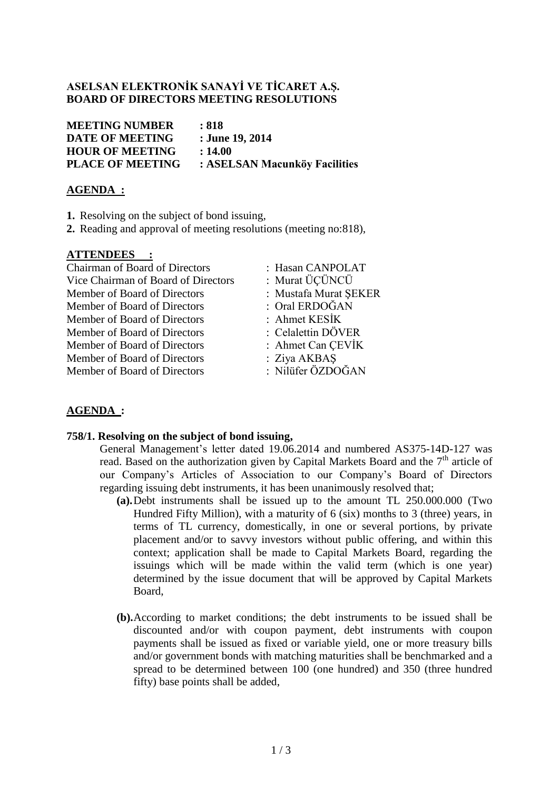## **ASELSAN ELEKTRONİK SANAYİ VE TİCARET A.Ş. BOARD OF DIRECTORS MEETING RESOLUTIONS**

**MEETING NUMBER : 818 DATE OF MEETING : June 19, 2014 HOUR OF MEETING : 14.00 PLACE OF MEETING : ASELSAN Macunköy Facilities**

## **AGENDA :**

- **1.** Resolving on the subject of bond issuing,
- **2.** Reading and approval of meeting resolutions (meeting no:818),

## **ATTENDEES :**

Chairman of Board of Directors : Hasan CANPOLAT Vice Chairman of Board of Directors : Murat ÜÇÜNCÜ Member of Board of Directors : Mustafa Murat ŞEKER Member of Board of Directors : Oral ERDOĞAN Member of Board of Directors : Ahmet KESİK Member of Board of Directors : Celalettin DÖVER Member of Board of Directors : Ahmet Can ÇEVİK Member of Board of Directors : Ziya AKBAS Member of Board of Directors : Nilüfer ÖZDOĞAN

- 
- 
- 
- 
- 
- 
- 
- 

# **AGENDA :**

## **758/1. Resolving on the subject of bond issuing,**

General Management's letter dated 19.06.2014 and numbered AS375-14D-127 was read. Based on the authorization given by Capital Markets Board and the  $7<sup>th</sup>$  article of our Company's Articles of Association to our Company's Board of Directors regarding issuing debt instruments, it has been unanimously resolved that;

- **(a).**Debt instruments shall be issued up to the amount TL 250.000.000 (Two Hundred Fifty Million), with a maturity of 6 (six) months to 3 (three) years, in terms of TL currency, domestically, in one or several portions, by private placement and/or to savvy investors without public offering, and within this context; application shall be made to Capital Markets Board, regarding the issuings which will be made within the valid term (which is one year) determined by the issue document that will be approved by Capital Markets Board,
- **(b).**According to market conditions; the debt instruments to be issued shall be discounted and/or with coupon payment, debt instruments with coupon payments shall be issued as fixed or variable yield, one or more treasury bills and/or government bonds with matching maturities shall be benchmarked and a spread to be determined between 100 (one hundred) and 350 (three hundred fifty) base points shall be added,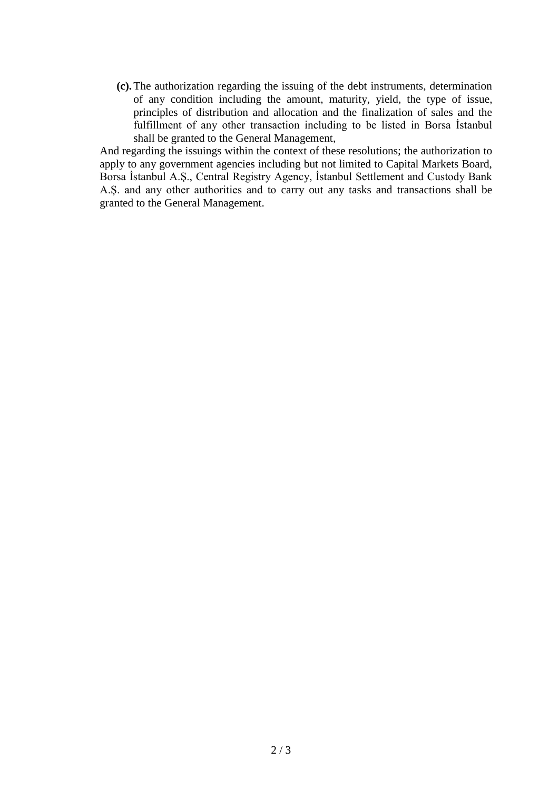**(c).**The authorization regarding the issuing of the debt instruments, determination of any condition including the amount, maturity, yield, the type of issue, principles of distribution and allocation and the finalization of sales and the fulfillment of any other transaction including to be listed in Borsa İstanbul shall be granted to the General Management,

And regarding the issuings within the context of these resolutions; the authorization to apply to any government agencies including but not limited to Capital Markets Board, Borsa İstanbul A.Ş., Central Registry Agency, İstanbul Settlement and Custody Bank A.Ş. and any other authorities and to carry out any tasks and transactions shall be granted to the General Management.